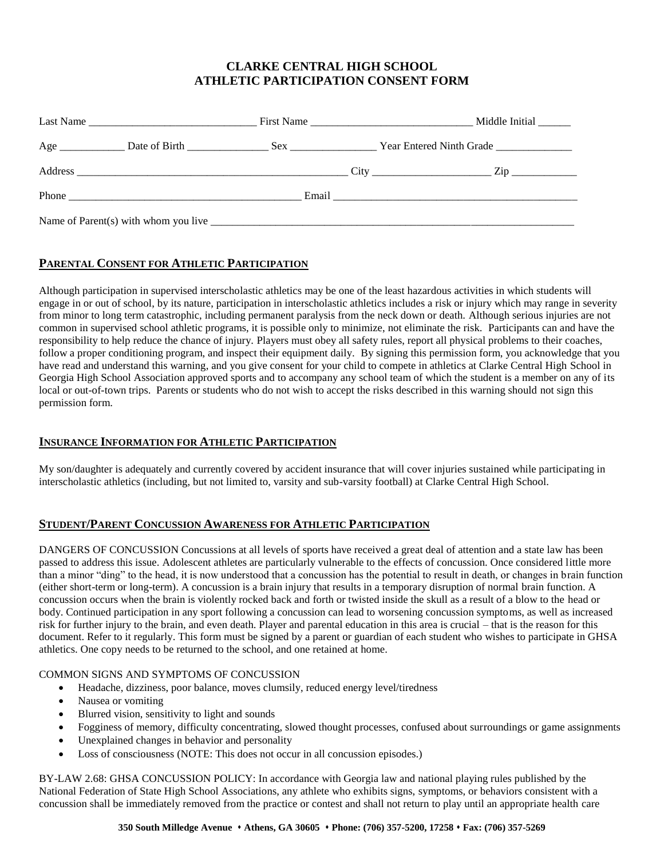# **CLARKE CENTRAL HIGH SCHOOL ATHLETIC PARTICIPATION CONSENT FORM**

# **PARENTAL CONSENT FOR ATHLETIC PARTICIPATION**

Although participation in supervised interscholastic athletics may be one of the least hazardous activities in which students will engage in or out of school, by its nature, participation in interscholastic athletics includes a risk or injury which may range in severity from minor to long term catastrophic, including permanent paralysis from the neck down or death. Although serious injuries are not common in supervised school athletic programs, it is possible only to minimize, not eliminate the risk. Participants can and have the responsibility to help reduce the chance of injury. Players must obey all safety rules, report all physical problems to their coaches, follow a proper conditioning program, and inspect their equipment daily. By signing this permission form, you acknowledge that you have read and understand this warning, and you give consent for your child to compete in athletics at Clarke Central High School in Georgia High School Association approved sports and to accompany any school team of which the student is a member on any of its local or out-of-town trips. Parents or students who do not wish to accept the risks described in this warning should not sign this permission form.

### **INSURANCE INFORMATION FOR ATHLETIC PARTICIPATION**

My son/daughter is adequately and currently covered by accident insurance that will cover injuries sustained while participating in interscholastic athletics (including, but not limited to, varsity and sub-varsity football) at Clarke Central High School.

### **STUDENT/PARENT CONCUSSION AWARENESS FOR ATHLETIC PARTICIPATION**

DANGERS OF CONCUSSION Concussions at all levels of sports have received a great deal of attention and a state law has been passed to address this issue. Adolescent athletes are particularly vulnerable to the effects of concussion. Once considered little more than a minor "ding" to the head, it is now understood that a concussion has the potential to result in death, or changes in brain function (either short-term or long-term). A concussion is a brain injury that results in a temporary disruption of normal brain function. A concussion occurs when the brain is violently rocked back and forth or twisted inside the skull as a result of a blow to the head or body. Continued participation in any sport following a concussion can lead to worsening concussion symptoms, as well as increased risk for further injury to the brain, and even death. Player and parental education in this area is crucial – that is the reason for this document. Refer to it regularly. This form must be signed by a parent or guardian of each student who wishes to participate in GHSA athletics. One copy needs to be returned to the school, and one retained at home.

#### COMMON SIGNS AND SYMPTOMS OF CONCUSSION

- Headache, dizziness, poor balance, moves clumsily, reduced energy level/tiredness
- Nausea or vomiting
- Blurred vision, sensitivity to light and sounds
- Fogginess of memory, difficulty concentrating, slowed thought processes, confused about surroundings or game assignments
- Unexplained changes in behavior and personality
- Loss of consciousness (NOTE: This does not occur in all concussion episodes.)

BY-LAW 2.68: GHSA CONCUSSION POLICY: In accordance with Georgia law and national playing rules published by the National Federation of State High School Associations, any athlete who exhibits signs, symptoms, or behaviors consistent with a concussion shall be immediately removed from the practice or contest and shall not return to play until an appropriate health care